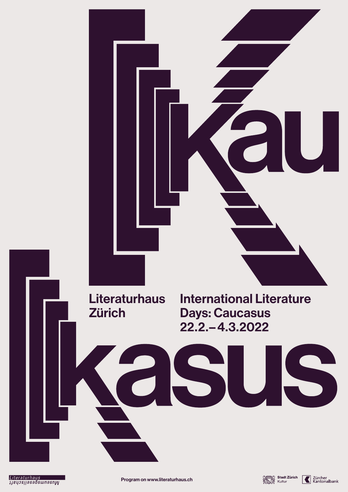Program on www.literaturhaus.ch





Days: Caucasus 22.2.–4.3.2022



Literaturhaus **IJeyos||asabswnasnW**